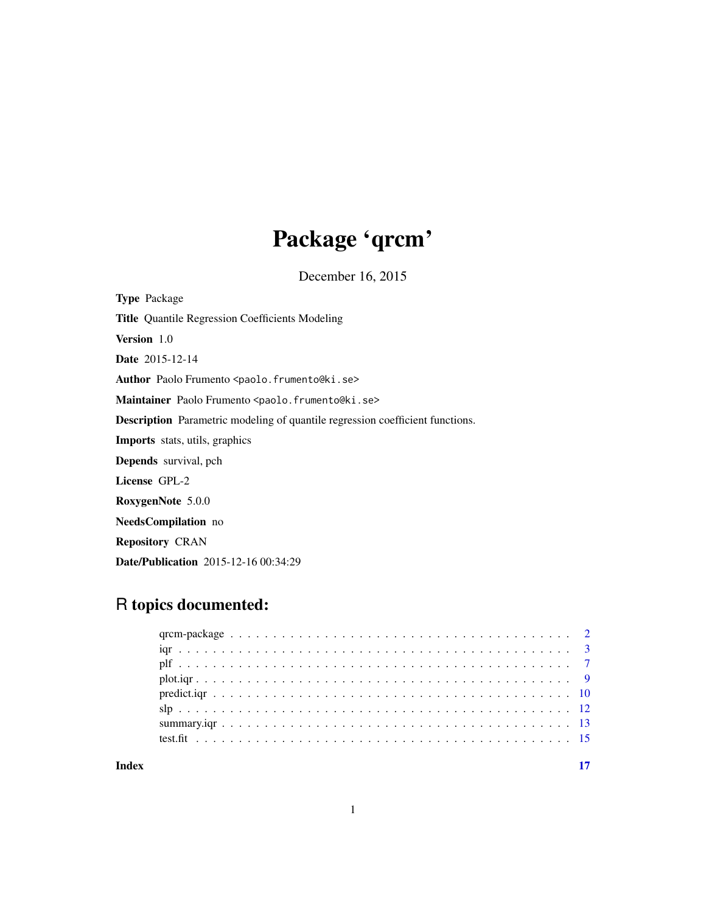## Package 'qrcm'

December 16, 2015

<span id="page-0-0"></span>Type Package Title Quantile Regression Coefficients Modeling Version 1.0 Date 2015-12-14 Author Paolo Frumento <paolo.frumento@ki.se> Maintainer Paolo Frumento <paolo.frumento@ki.se> Description Parametric modeling of quantile regression coefficient functions. Imports stats, utils, graphics Depends survival, pch License GPL-2 RoxygenNote 5.0.0 NeedsCompilation no Repository CRAN Date/Publication 2015-12-16 00:34:29

### R topics documented:

**Index** [17](#page-16-0)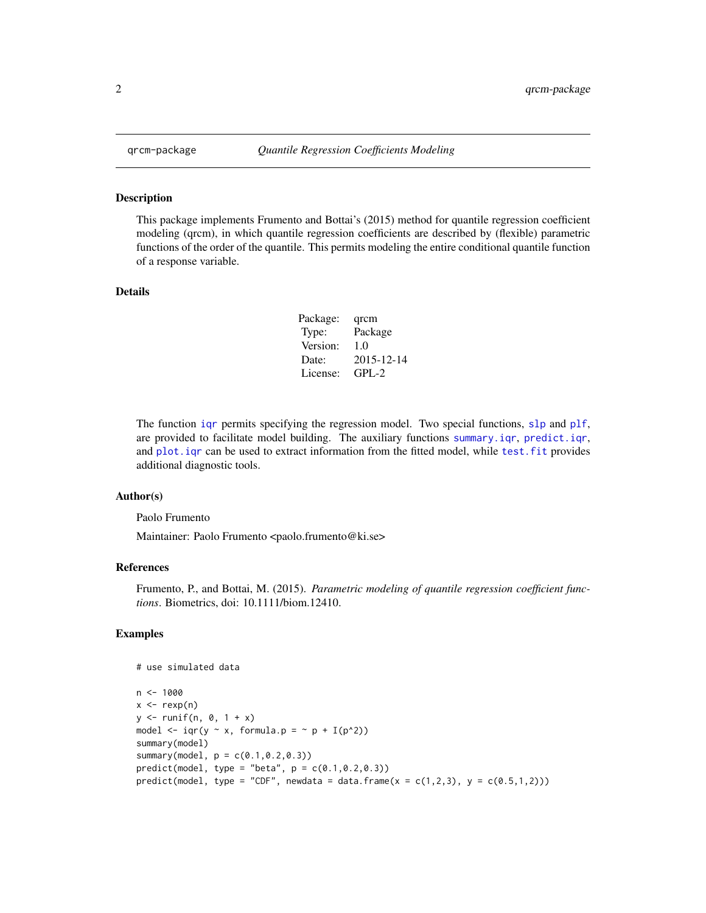#### Description

This package implements Frumento and Bottai's (2015) method for quantile regression coefficient modeling (qrcm), in which quantile regression coefficients are described by (flexible) parametric functions of the order of the quantile. This permits modeling the entire conditional quantile function of a response variable.

#### Details

| Package: | qrcm       |
|----------|------------|
| Type:    | Package    |
| Version: | 1.0        |
| Date:    | 2015-12-14 |
| License: | $GPI - 2$  |

The function [iqr](#page-2-1) permits specifying the regression model. Two special functions, [slp](#page-11-1) and [plf](#page-6-1), are provided to facilitate model building. The auxiliary functions [summary.iqr](#page-12-1), [predict.iqr](#page-9-1), and [plot.iqr](#page-8-1) can be used to extract information from the fitted model, while [test.fit](#page-14-1) provides additional diagnostic tools.

#### Author(s)

Paolo Frumento

Maintainer: Paolo Frumento <paolo.frumento@ki.se>

#### References

Frumento, P., and Bottai, M. (2015). *Parametric modeling of quantile regression coefficient functions*. Biometrics, doi: 10.1111/biom.12410.

### Examples

```
# use simulated data
n < - 1000x \leftarrow \text{rexp}(n)y \leftarrow runif(n, 0, 1 + x)model \leq iqr(y \sim x, formula.p = \sim p + I(p^2))
summary(model)
summary(model, p = c(0.1, 0.2, 0.3))
predict(model, type = "beta", p = c(0.1, 0.2, 0.3))predict(model, type = "CDF", newdata = data.frame(x = c(1,2,3), y = c(0.5,1,2)))
```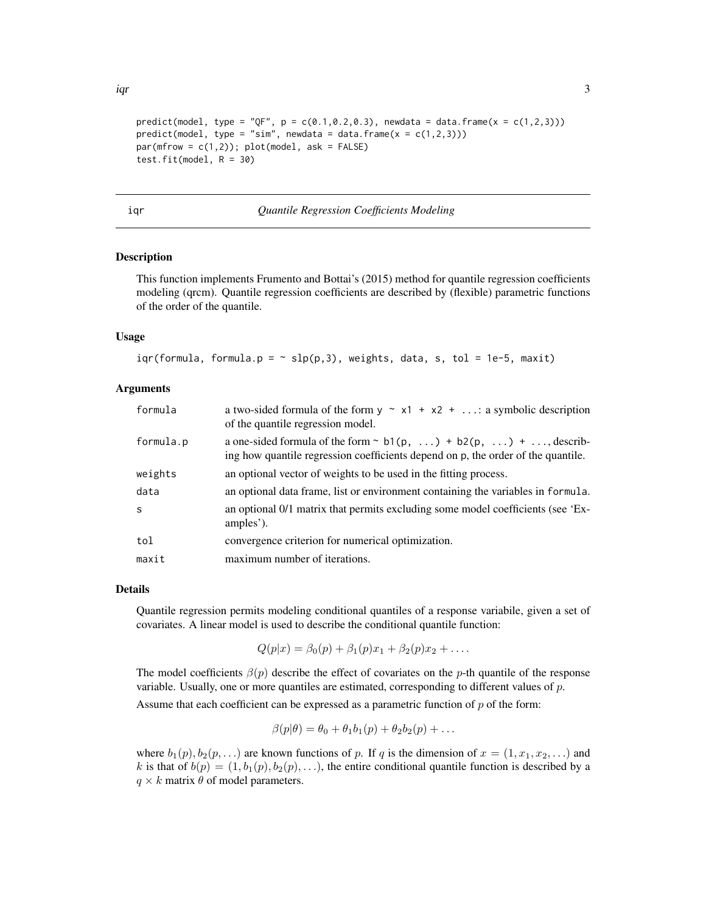```
predict(model, type = "QF", p = c(0.1, 0.2, 0.3), newdata = data frame(x = c(1, 2, 3)))predict(model, type = "sim", newdata = data-frame(x = c(1, 2, 3)))par(mfrow = c(1,2)); plot(mod 1, ask = FALSE)test.fit(model, R = 30)
```
#### iqr *Quantile Regression Coefficients Modeling*

#### Description

This function implements Frumento and Bottai's (2015) method for quantile regression coefficients modeling (qrcm). Quantile regression coefficients are described by (flexible) parametric functions of the order of the quantile.

#### Usage

```
iqr(formula, formula.p = ~ slp(p,3), weights, data, s, tol = 1e-5, maxit)
```
#### Arguments

| formula   | a two-sided formula of the form $y \sim x1 + x2 + $ : a symbolic description<br>of the quantile regression model.                                                            |
|-----------|------------------------------------------------------------------------------------------------------------------------------------------------------------------------------|
| formula.p | a one-sided formula of the form $\sim b1(p, \ldots) + b2(p, \ldots) + \ldots$ , describ-<br>ing how quantile regression coefficients depend on p, the order of the quantile. |
| weights   | an optional vector of weights to be used in the fitting process.                                                                                                             |
| data      | an optional data frame, list or environment containing the variables in formula.                                                                                             |
| S         | an optional 0/1 matrix that permits excluding some model coefficients (see 'Ex-<br>amples').                                                                                 |
| tol       | convergence criterion for numerical optimization.                                                                                                                            |
| maxit     | maximum number of iterations.                                                                                                                                                |

#### Details

Quantile regression permits modeling conditional quantiles of a response variabile, given a set of covariates. A linear model is used to describe the conditional quantile function:

$$
Q(p|x) = \beta_0(p) + \beta_1(p)x_1 + \beta_2(p)x_2 + \dots
$$

The model coefficients  $\beta(p)$  describe the effect of covariates on the p-th quantile of the response variable. Usually, one or more quantiles are estimated, corresponding to different values of  $p$ . Assume that each coefficient can be expressed as a parametric function of  $p$  of the form:

$$
\beta(p|\theta) = \theta_0 + \theta_1 b_1(p) + \theta_2 b_2(p) + \dots
$$

where  $b_1(p), b_2(p, \ldots)$  are known functions of p. If q is the dimension of  $x = (1, x_1, x_2, \ldots)$  and k is that of  $b(p) = (1, b_1(p), b_2(p), \ldots)$ , the entire conditional quantile function is described by a  $q \times k$  matrix  $\theta$  of model parameters.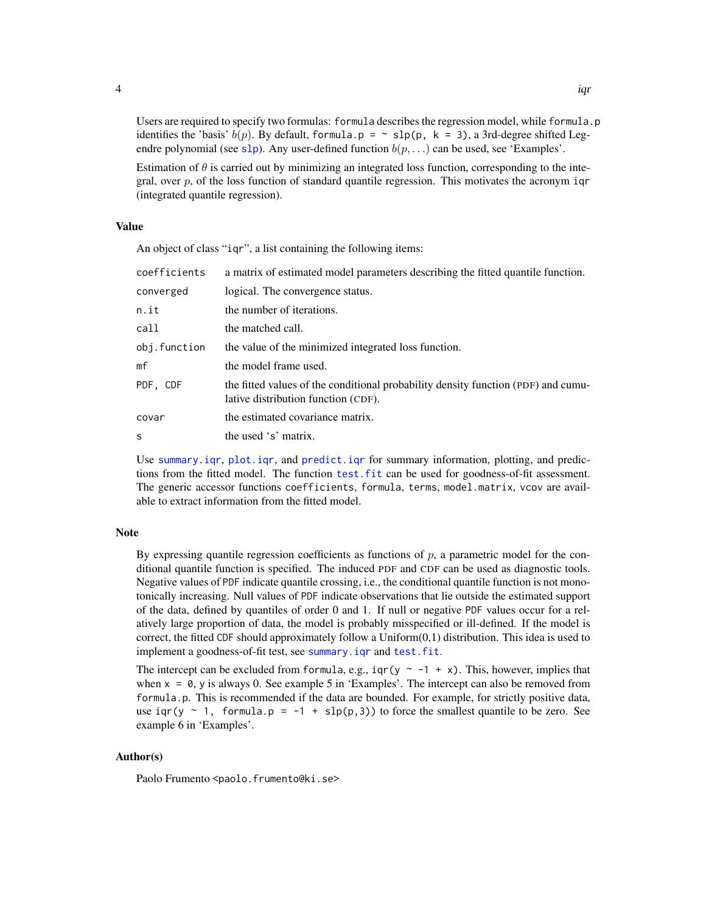<span id="page-3-0"></span>Users are required to specify two formulas: formula describes the regression model, while formula.p identifies the 'basis'  $b(p)$ . By default, formula.p =  $\sim$  slp(p, k = 3), a 3rd-degree shifted Legendre polynomial (see [slp](#page-11-1)). Any user-defined function  $b(p, \ldots)$  can be used, see 'Examples'.

Estimation of  $\theta$  is carried out by minimizing an integrated loss function, corresponding to the integral, over  $p$ , of the loss function of standard quantile regression. This motivates the acronym iqr (integrated quantile regression).

#### Value

An object of class "iqr", a list containing the following items:

| coefficients | a matrix of estimated model parameters describing the fitted quantile function.                                          |
|--------------|--------------------------------------------------------------------------------------------------------------------------|
| converged    | logical. The convergence status.                                                                                         |
| n.it         | the number of iterations.                                                                                                |
| call         | the matched call.                                                                                                        |
| obj.function | the value of the minimized integrated loss function.                                                                     |
| mf           | the model frame used.                                                                                                    |
| PDF, CDF     | the fitted values of the conditional probability density function (PDF) and cumu-<br>lative distribution function (CDF). |
| covar        | the estimated covariance matrix.                                                                                         |
| s            | the used 's' matrix.                                                                                                     |
|              |                                                                                                                          |

Use [summary.iqr](#page-12-1), [plot.iqr](#page-8-1), and [predict.iqr](#page-9-1) for summary information, plotting, and predictions from the fitted model. The function [test.fit](#page-14-1) can be used for goodness-of-fit assessment. The generic accessor functions coefficients, formula, terms, model.matrix, vcov are available to extract information from the fitted model.

#### **Note**

By expressing quantile regression coefficients as functions of  $p$ , a parametric model for the conditional quantile function is specified. The induced PDF and CDF can be used as diagnostic tools. Negative values of PDF indicate quantile crossing, i.e., the conditional quantile function is not monotonically increasing. Null values of PDF indicate observations that lie outside the estimated support of the data, defined by quantiles of order 0 and 1. If null or negative PDF values occur for a relatively large proportion of data, the model is probably misspecified or ill-defined. If the model is correct, the fitted CDF should approximately follow a Uniform(0,1) distribution. This idea is used to implement a goodness-of-fit test, see [summary.iqr](#page-12-1) and [test.fit](#page-14-1).

The intercept can be excluded from formula, e.g.,  $iqr(y \sim -1 + x)$ . This, however, implies that when  $x = 0$ , y is always 0. See example 5 in 'Examples'. The intercept can also be removed from formula.p. This is recommended if the data are bounded. For example, for strictly positive data, use igr(y ~ 1, formula.p = -1 +  $\text{slp}(p,3)$ ) to force the smallest quantile to be zero. See example 6 in 'Examples'.

#### Author(s)

Paolo Frumento <paolo.frumento@ki.se>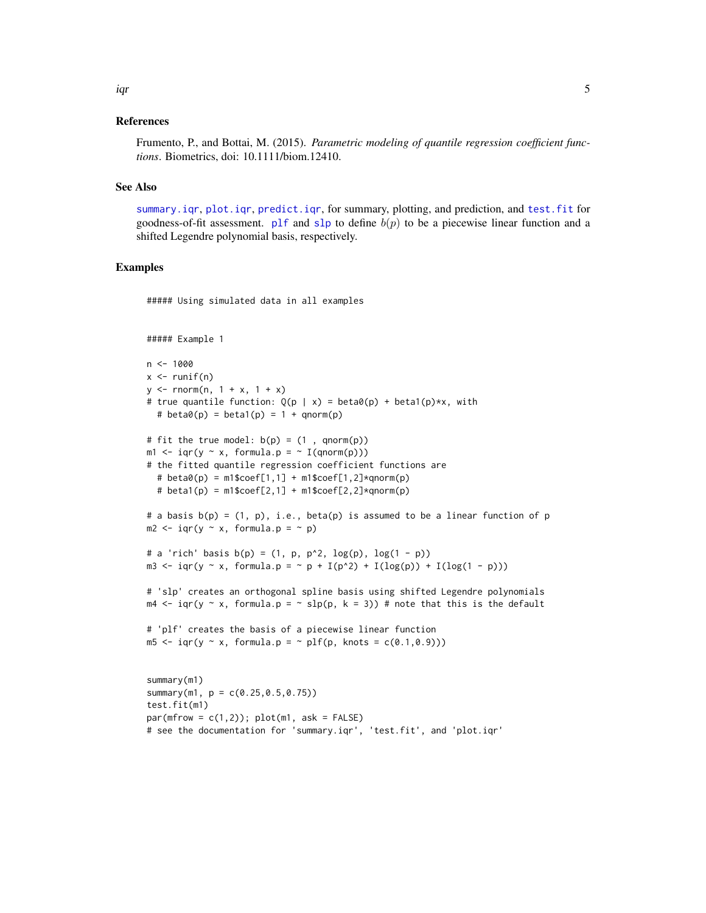#### References

Frumento, P., and Bottai, M. (2015). *Parametric modeling of quantile regression coefficient functions*. Biometrics, doi: 10.1111/biom.12410.

#### See Also

[summary.iqr](#page-12-1), [plot.iqr](#page-8-1), [predict.iqr](#page-9-1), for summary, plotting, and prediction, and [test.fit](#page-14-1) for goodness-of-fit assessment. [plf](#page-6-1) and [slp](#page-11-1) to define  $b(p)$  to be a piecewise linear function and a shifted Legendre polynomial basis, respectively.

#### Examples

##### Using simulated data in all examples

```
##### Example 1
n < -1000x \leftarrow runif(n)y \le - rnorm(n, 1 + x, 1 + x)
# true quantile function: Q(p | x) = beta\Theta(p) + beta1(p) * x, with
  # beta\theta(p) = beta1(p) = 1 + qnorm(p)
# fit the true model: b(p) = (1, qnorm(p))m1 \leq -iqr(y \sim x, \text{formula.} p = \sim I(qnorm(p)))# the fitted quantile regression coefficient functions are
  # beta0(p) = m1$coef[1,1] + m1$coef[1,2]*qnorm(p)
  # beta1(p) = m1$coef[2,1] + m1$coef[2,2]*qnorm(p)
# a basis b(p) = (1, p), i.e., beta(p) is assumed to be a linear function of p
m2 \leq -iqr(y \sim x, \text{formula.p} = \sim p)# a 'rich' basis b(p) = (1, p, p^2, \log(p), \log(1 - p))m3 <- iqr(y ~ x, formula.p = ~ p + I(p^2) + I(log(p)) + I(log(1 - p)))
# 'slp' creates an orthogonal spline basis using shifted Legendre polynomials
m4 \leq iqr(y \leq x, formula.p = \sim slp(p, k = 3)) # note that this is the default
# 'plf' creates the basis of a piecewise linear function
m5 \leq iqr(y \sim x, \text{formula.} p = \sim plf(p, \text{ knots} = c(0.1, 0.9)))summary(m1)
summary(m1, p = c(0.25, 0.5, 0.75))
test.fit(m1)
par(mfrow = c(1,2)); plot(m1, ask = FALSE)# see the documentation for 'summary.iqr', 'test.fit', and 'plot.iqr'
```
<span id="page-4-0"></span>iqr 5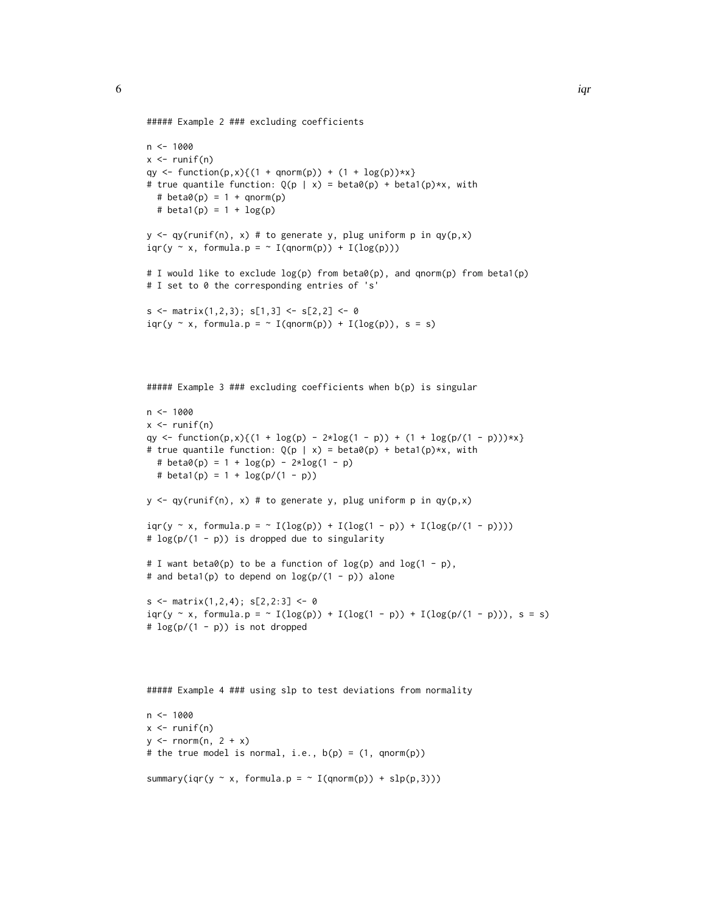```
##### Example 2 ### excluding coefficients
```

```
n < -1000x \leftarrow runif(n)qy <- function(p,x){(1 + qnorm(p)) + (1 + log(p)) *x}
# true quantile function: Q(p | x) = beta\Theta(p) + beta1(p) * x, with
 # beta\theta(p) = 1 + qnorm(p)# beta1(p) = 1 + log(p)y \leq -qy(runif(n), x) # to generate y, plug uniform p in qy(p,x)iqr(y \sim x, formula.p = \sim I(qnorm(p)) + I(log(p)))# I would like to exclude log(p) from beta0(p), and qnorm(p) from beta1(p)
# I set to 0 the corresponding entries of 's'
s \le matrix(1,2,3); s[1,3] \le s[2,2] \le 0iqr(y \sim x, formula.p = \sim I(qnorm(p)) + I(log(p)), s = s)
##### Example 3 ### excluding coefficients when b(p) is singular
n <- 1000
x \leftarrow runif(n)qy <- function(p,x){(1 + log(p) - 2*log(1 - p)) + (1 + log(p/(1 - p)))*x}
# true quantile function: Q(p | x) = beta\Theta(p) + beta1(p) *x, with
  # beta\theta(p) = 1 + \log(p) - 2 \times \log(1 - p)# beta1(p) = 1 + log(p/(1 - p))y \leq -qy(runif(n), x) # to generate y, plug uniform p in qy(p,x)iqr(y \sim x, \text{ formula.} p = \sim I(log(p)) + I(log(1 - p)) + I(log(p/(1 - p))))# \log(p/(1 - p)) is dropped due to singularity
# I want beta0(p) to be a function of log(p) and log(1 - p),
# and beta1(p) to depend on log(p/(1 - p)) alone
s \le matrix(1,2,4); s[2,2:3] \le 0iqr(y \sim x, \text{ formula}.p = \sim I(log(p)) + I(log(1 - p)) + I(log(p/(1 - p))), s = s)# log(p/(1 - p)) is not dropped
```

```
##### Example 4 ### using slp to test deviations from normality
```

```
n < -1000x \leftarrow runif(n)y \le - rnorm(n, 2 + x)
# the true model is normal, i.e., b(p) = (1, qnorm(p))summary(iqr(y ~ x, formula.p = \sim I(qnorm(p)) + slp(p,3)))
```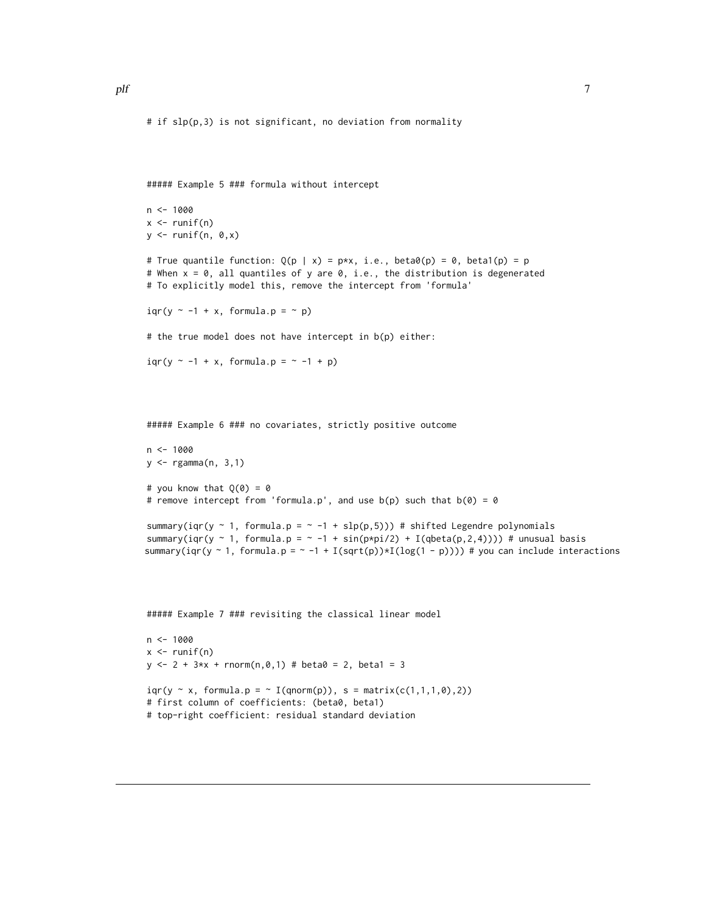```
# if slp(p,3) is not significant, no deviation from normality
```

```
##### Example 5 ### formula without intercept
```

```
n < -1000x \le- runif(n)
y \leftarrow runif(n, 0, x)
```

```
# True quantile function: Q(p | x) = p*x, i.e., beta\theta(p) = 0, beta1(p) = p# When x = 0, all quantiles of y are 0, i.e., the distribution is degenerated
# To explicitly model this, remove the intercept from 'formula'
```
 $iqr(y \sim -1 + x,$  formula.p =  $\sim$  p)

# the true model does not have intercept in b(p) either:

```
iqr(y \sim -1 + x, formula.p = \sim -1 + p)
```
##### Example 6 ### no covariates, strictly positive outcome

```
n < -1000y <- rgamma(n, 3,1)
# you know that Q(\theta) = \theta# remove intercept from 'formula.p', and use b(p) such that b(0) = 0
```

```
summary(iqr(y ~ 1, formula.p = \sim -1 + slp(p,5))) # shifted Legendre polynomials
summary(iqr(y ~ 1, formula.p = ~ -1 + sin(p*pi/2) + I(qbeta(p,2,4)))) # unusual basis
summary(iqr(y ~ 1, formula.p = \sim -1 + I(sqrt(p))*I(log(1 - p)))) # you can include interactions
```
##### Example 7 ### revisiting the classical linear model

```
n < -1000x \leftarrow runif(n)y \le -2 + 3*x + \text{norm}(n, \emptyset, 1) \neq \text{beta0} = 2, \text{ beta1} = 3iqr(y \sim x, formula.p = \sim I(qnorm(p)), s = matrix(c(1,1,1,0),2))
# first column of coefficients: (beta0, beta1)
# top-right coefficient: residual standard deviation
```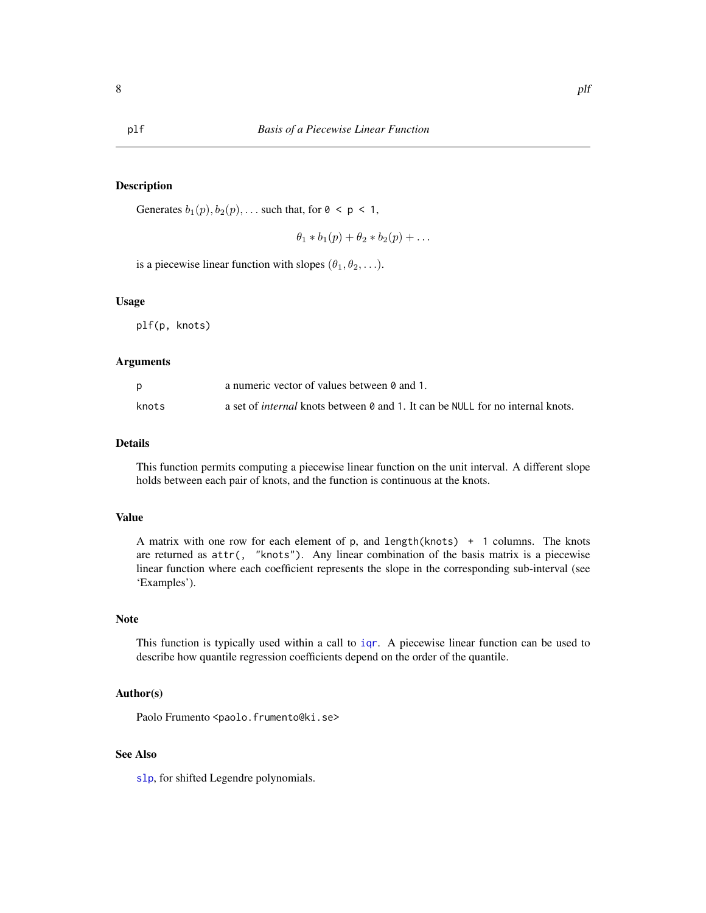#### <span id="page-7-0"></span>Description

Generates  $b_1(p), b_2(p), \ldots$  such that, for  $0 \le p \le 1$ ,

 $\theta_1 * b_1(p) + \theta_2 * b_2(p) + \ldots$ 

is a piecewise linear function with slopes  $(\theta_1, \theta_2, \ldots)$ .

#### Usage

plf(p, knots)

#### Arguments

|       | a numeric vector of values between 0 and 1.                                           |
|-------|---------------------------------------------------------------------------------------|
| knots | a set of <i>internal</i> knots between 0 and 1. It can be NULL for no internal knots. |

#### Details

This function permits computing a piecewise linear function on the unit interval. A different slope holds between each pair of knots, and the function is continuous at the knots.

#### Value

A matrix with one row for each element of p, and length(knots) + 1 columns. The knots are returned as attr(, "knots"). Any linear combination of the basis matrix is a piecewise linear function where each coefficient represents the slope in the corresponding sub-interval (see 'Examples').

#### Note

This function is typically used within a call to [iqr](#page-2-1). A piecewise linear function can be used to describe how quantile regression coefficients depend on the order of the quantile.

#### Author(s)

Paolo Frumento <paolo.frumento@ki.se>

#### See Also

[slp](#page-11-1), for shifted Legendre polynomials.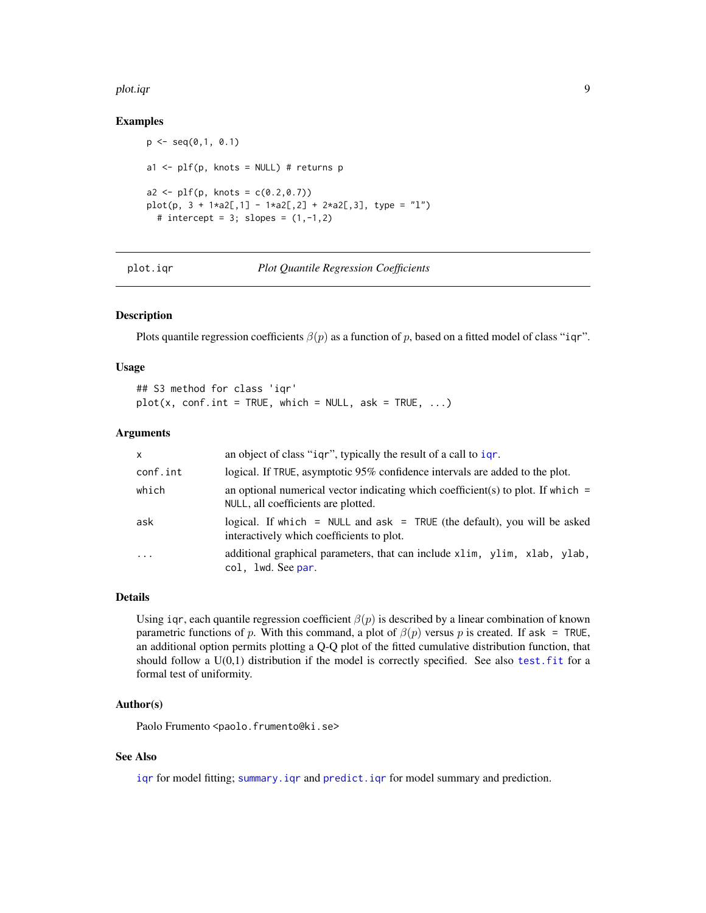#### <span id="page-8-0"></span>plot.iqr 9

#### Examples

```
p \leq -\text{seq}(0,1, 0.1)a1 \leftarrow plf(p, knots = NULL) # returns p
a2 \leq plf(p, knots = c(0.2, 0.7))plot(p, 3 + 1 \times a2[, 1] - 1 \times a2[, 2] + 2 \times a2[, 3], type = "1")
  # intercept = 3; slopes = (1, -1, 2)
```
#### plot.iqr *Plot Quantile Regression Coefficients*

#### Description

Plots quantile regression coefficients  $\beta(p)$  as a function of p, based on a fitted model of class "iqr".

#### Usage

## S3 method for class 'iqr'  $plot(x, conf.int = TRUE, which = NULL, ask = TRUE, ...)$ 

#### Arguments

| $\mathsf{x}$ | an object of class "igr", typically the result of a call to igr.                                                          |
|--------------|---------------------------------------------------------------------------------------------------------------------------|
| conf.int     | logical. If TRUE, asymptotic 95% confidence intervals are added to the plot.                                              |
| which        | an optional numerical vector indicating which coefficient(s) to plot. If which $=$<br>NULL, all coefficients are plotted. |
| ask          | logical. If which = NULL and $ask$ = TRUE (the default), you will be asked<br>interactively which coefficients to plot.   |
| $\cdots$     | additional graphical parameters, that can include x1im, y1im, x1ab, y1ab,<br>col, 1wd. See par.                           |

#### Details

Using iqr, each quantile regression coefficient  $\beta(p)$  is described by a linear combination of known parametric functions of p. With this command, a plot of  $\beta(p)$  versus p is created. If ask = TRUE, an additional option permits plotting a Q-Q plot of the fitted cumulative distribution function, that should follow a  $U(0,1)$  distribution if the model is correctly specified. See also test. fit for a formal test of uniformity.

#### Author(s)

Paolo Frumento <paolo.frumento@ki.se>

#### See Also

[iqr](#page-2-1) for model fitting; [summary.iqr](#page-12-1) and [predict.iqr](#page-9-1) for model summary and prediction.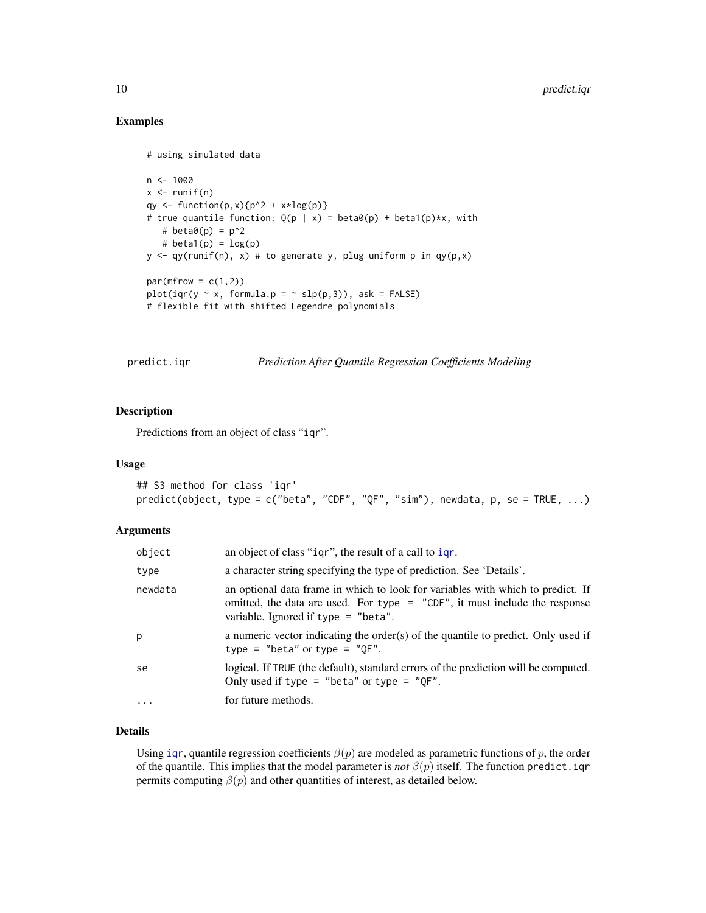#### Examples

```
# using simulated data
n < -1000x \leftarrow runif(n)qy \leftarrow function(p,x){p^2 + x*log(p)}
# true quantile function: Q(p | x) = beta\Theta(p) + beta1(p) * x, with
   # beta\theta(p) = p^2# beta1(p) = log(p)y <- qy(runif(n), x) # to generate y, plug uniform p in qy(p,x)
par(mfrow = c(1,2))plot(iqr(y \sim x, formula.p = \sim slp(p,3)), ask = FALSE)
# flexible fit with shifted Legendre polynomials
```
<span id="page-9-1"></span>predict.iqr *Prediction After Quantile Regression Coefficients Modeling*

#### Description

Predictions from an object of class "iqr".

#### Usage

```
## S3 method for class 'iqr'
predict(object, type = c("beta", "CDF", "QF", "sim"), newdata, p, se = TRUE, ...)
```
#### Arguments

| object     | an object of class "igr", the result of a call to igr.                                                                                                                                                   |
|------------|----------------------------------------------------------------------------------------------------------------------------------------------------------------------------------------------------------|
| type       | a character string specifying the type of prediction. See 'Details'.                                                                                                                                     |
| newdata    | an optional data frame in which to look for variables with which to predict. If<br>omitted, the data are used. For type $=$ "CDF", it must include the response<br>variable. Ignored if $type = "beta".$ |
| p          | a numeric vector indicating the order(s) of the quantile to predict. Only used if<br>type = "beta" or type = " $0$ F".                                                                                   |
| se         | logical. If TRUE (the default), standard errors of the prediction will be computed.<br>Only used if type = "beta" or type = "QF".                                                                        |
| $\ddots$ . | for future methods.                                                                                                                                                                                      |
|            |                                                                                                                                                                                                          |

#### Details

Using [iqr](#page-2-1), quantile regression coefficients  $\beta(p)$  are modeled as parametric functions of p, the order of the quantile. This implies that the model parameter is *not*  $\beta(p)$  itself. The function predict.iqr permits computing  $\beta(p)$  and other quantities of interest, as detailed below.

<span id="page-9-0"></span>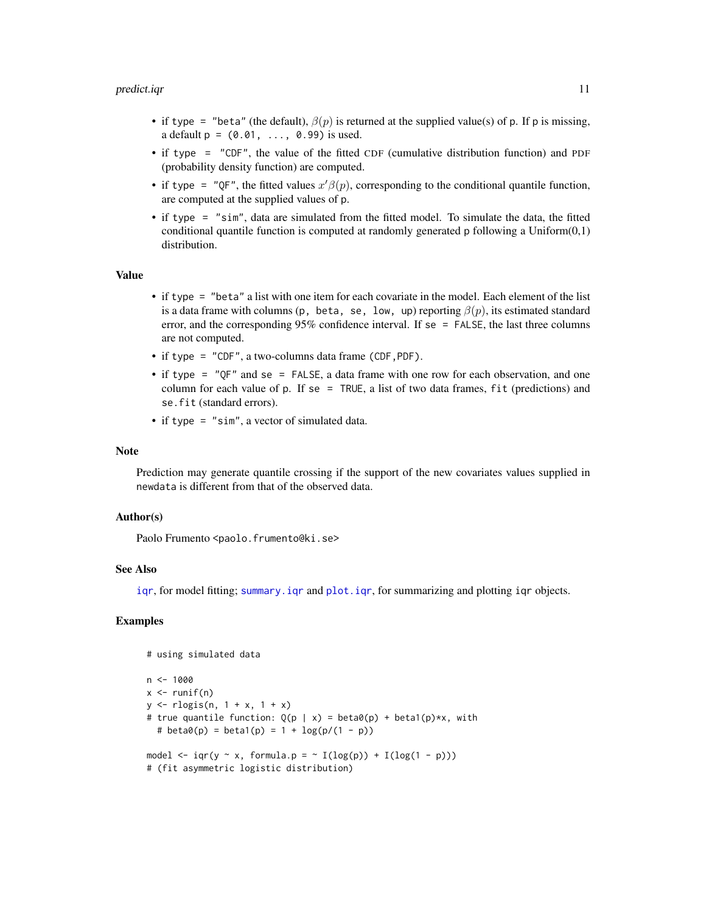#### <span id="page-10-0"></span>predict.iqr the contract of the contract of the contract of the contract of the contract of the contract of the contract of the contract of the contract of the contract of the contract of the contract of the contract of th

- if type = "beta" (the default),  $\beta(p)$  is returned at the supplied value(s) of p. If p is missing, a default  $p = (0.01, ..., 0.99)$  is used.
- if type = "CDF", the value of the fitted CDF (cumulative distribution function) and PDF (probability density function) are computed.
- if type = "QF", the fitted values  $x'\beta(p)$ , corresponding to the conditional quantile function, are computed at the supplied values of p.
- if type = "sim", data are simulated from the fitted model. To simulate the data, the fitted conditional quantile function is computed at randomly generated p following a Uniform $(0,1)$ distribution.

#### Value

- if type = "beta" a list with one item for each covariate in the model. Each element of the list is a data frame with columns (p, beta, se, low, up) reporting  $\beta(p)$ , its estimated standard error, and the corresponding 95% confidence interval. If se = FALSE, the last three columns are not computed.
- if type = "CDF", a two-columns data frame (CDF,PDF).
- if type  $=$  "QF" and se  $=$  FALSE, a data frame with one row for each observation, and one column for each value of p. If se = TRUE, a list of two data frames,  $fit$  (predictions) and se.fit (standard errors).
- if type = "sim", a vector of simulated data.

#### Note

Prediction may generate quantile crossing if the support of the new covariates values supplied in newdata is different from that of the observed data.

#### Author(s)

Paolo Frumento <paolo.frumento@ki.se>

#### See Also

[iqr](#page-2-1), for model fitting; [summary.iqr](#page-12-1) and [plot.iqr](#page-8-1), for summarizing and plotting iqr objects.

#### Examples

```
# using simulated data
n < -1000x \leftarrow runif(n)y \leq -r \log i s(n, 1 + x, 1 + x)# true quantile function: Q(p | x) = beta\Theta(p) + beta1(p) * x, with
  # beta\theta(p) = \beta(1 - p) = 1 + \log(p/(1 - p))model \leq iqr(y \leq x, formula.p = \leq I(log(p)) + I(log(1 - p)))
# (fit asymmetric logistic distribution)
```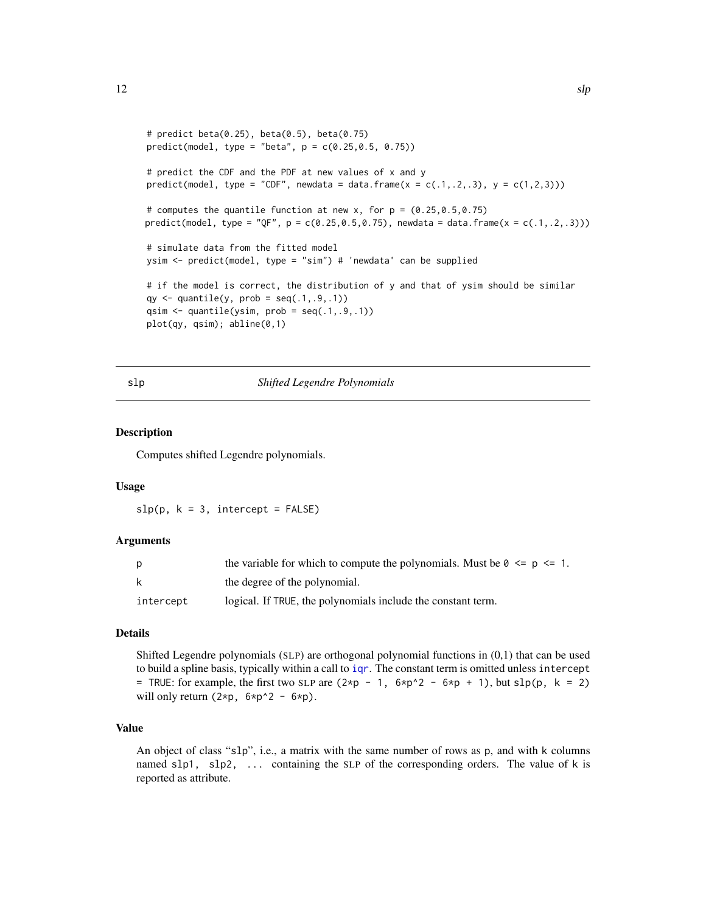```
# predict beta(0.25), beta(0.5), beta(0.75)
predict(model, type = "beta", p = c(0.25, 0.5, 0.75))# predict the CDF and the PDF at new values of x and y
predict(model, type = "CDF", newdata = data.frame(x = c(.1, .2, .3), y = c(1, 2, 3)))
# computes the quantile function at new x, for p = (0.25, 0.5, 0.75)predict(model, type = "QF", p = c(0.25, 0.5, 0.75), newdata = data.frame(x = c(.1,.2,.3)))
# simulate data from the fitted model
ysim <- predict(model, type = "sim") # 'newdata' can be supplied
# if the model is correct, the distribution of y and that of ysim should be similar
qy \leq quantile(y, prob = seq(.1,.9,.1))
qsim \leq quantile(ysim, prob = seq(.1,.9,.1))
plot(qy, qsim); abline(0,1)
```
#### slp *Shifted Legendre Polynomials*

#### Description

Computes shifted Legendre polynomials.

#### Usage

 $slp(p, k = 3,$  intercept = FALSE)

#### Arguments

| p         | the variable for which to compute the polynomials. Must be $\theta \leq p \leq 1$ . |
|-----------|-------------------------------------------------------------------------------------|
| k         | the degree of the polynomial.                                                       |
| intercept | logical. If TRUE, the polynomials include the constant term.                        |

#### Details

Shifted Legendre polynomials (SLP) are orthogonal polynomial functions in (0,1) that can be used to build a spline basis, typically within a call to  $iqr$ . The constant term is omitted unless intercept = TRUE: for example, the first two SLP are  $(2*p - 1, 6*p^2 - 6*p + 1)$ , but slp(p, k = 2) will only return  $(2*p, 6*p^2 - 6*p)$ .

#### Value

An object of class "slp", i.e., a matrix with the same number of rows as p, and with k columns named slp1, slp2, ... containing the SLP of the corresponding orders. The value of k is reported as attribute.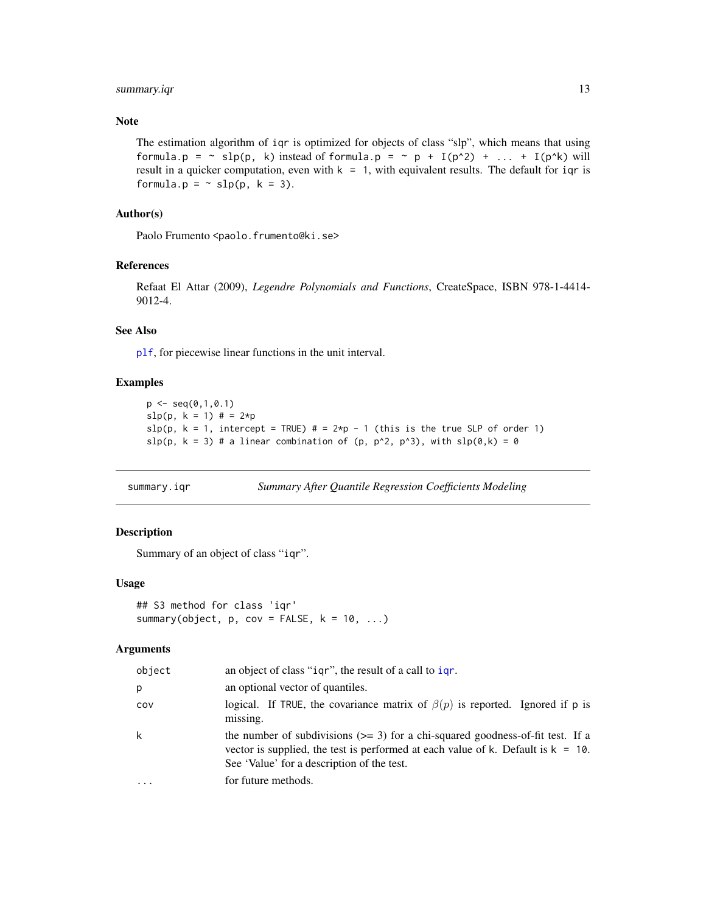#### <span id="page-12-0"></span>summary.iqr 13

#### Note

The estimation algorithm of iqr is optimized for objects of class "slp", which means that using formula.p =  $\sim$  slp(p, k) instead of formula.p =  $\sim$  p + I(p^2) + ... + I(p^k) will result in a quicker computation, even with  $k = 1$ , with equivalent results. The default for iqr is formula.p =  $\sim$  slp(p, k = 3).

#### Author(s)

Paolo Frumento <paolo.frumento@ki.se>

#### References

Refaat El Attar (2009), *Legendre Polynomials and Functions*, CreateSpace, ISBN 978-1-4414- 9012-4.

#### See Also

[plf](#page-6-1), for piecewise linear functions in the unit interval.

#### Examples

```
p \leftarrow \text{seq}(0, 1, 0.1)slp(p, k = 1) # = 2*p
slp(p, k = 1, intercept = TRUE) # = 2*p - 1 (this is the true SLP of order 1)
slp(p, k = 3) # a linear combination of (p, p^2, p^3), with slp(\emptyset, k) = 0
```
<span id="page-12-1"></span>summary.iqr *Summary After Quantile Regression Coefficients Modeling*

### Description

Summary of an object of class "iqr".

#### Usage

## S3 method for class 'iqr' summary(object,  $p$ , cov = FALSE,  $k = 10$ , ...)

#### Arguments

| object   | an object of class "igr", the result of a call to igr.                                                                                                                                                                |  |
|----------|-----------------------------------------------------------------------------------------------------------------------------------------------------------------------------------------------------------------------|--|
| р        | an optional vector of quantiles.                                                                                                                                                                                      |  |
| COV      | logical. If TRUE, the covariance matrix of $\beta(p)$ is reported. Ignored if p is<br>missing.                                                                                                                        |  |
| k        | the number of subdivisions $(>= 3)$ for a chi-squared goodness-of-fit test. If a<br>vector is supplied, the test is performed at each value of k. Default is $k = 10$ .<br>See 'Value' for a description of the test. |  |
| $\cdots$ | for future methods.                                                                                                                                                                                                   |  |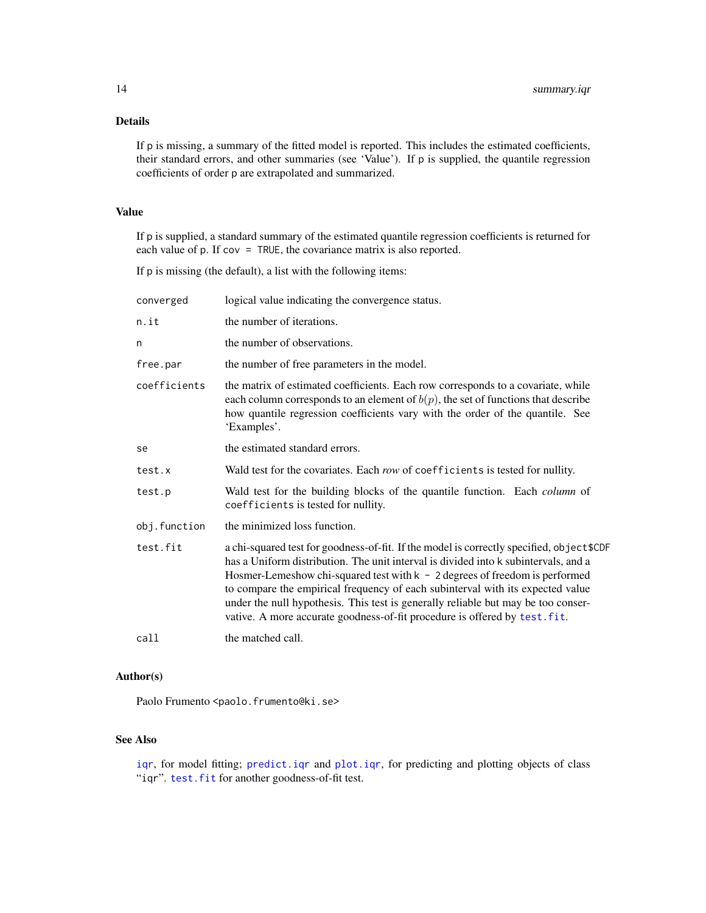#### <span id="page-13-0"></span>Details

If p is missing, a summary of the fitted model is reported. This includes the estimated coefficients, their standard errors, and other summaries (see 'Value'). If p is supplied, the quantile regression coefficients of order p are extrapolated and summarized.

#### Value

If p is supplied, a standard summary of the estimated quantile regression coefficients is returned for each value of p. If cov = TRUE, the covariance matrix is also reported.

If p is missing (the default), a list with the following items:

| converged    | logical value indicating the convergence status.                                                                                                                                                                                                                                                                                                                                                                                                                                                                       |
|--------------|------------------------------------------------------------------------------------------------------------------------------------------------------------------------------------------------------------------------------------------------------------------------------------------------------------------------------------------------------------------------------------------------------------------------------------------------------------------------------------------------------------------------|
| n.it         | the number of iterations.                                                                                                                                                                                                                                                                                                                                                                                                                                                                                              |
| n            | the number of observations.                                                                                                                                                                                                                                                                                                                                                                                                                                                                                            |
| free.par     | the number of free parameters in the model.                                                                                                                                                                                                                                                                                                                                                                                                                                                                            |
| coefficients | the matrix of estimated coefficients. Each row corresponds to a covariate, while<br>each column corresponds to an element of $b(p)$ , the set of functions that describe<br>how quantile regression coefficients vary with the order of the quantile. See<br>'Examples'.                                                                                                                                                                                                                                               |
| se           | the estimated standard errors.                                                                                                                                                                                                                                                                                                                                                                                                                                                                                         |
| test.x       | Wald test for the covariates. Each row of coefficients is tested for nullity.                                                                                                                                                                                                                                                                                                                                                                                                                                          |
| test.p       | Wald test for the building blocks of the quantile function. Each <i>column</i> of<br>coefficients is tested for nullity.                                                                                                                                                                                                                                                                                                                                                                                               |
| obj.function | the minimized loss function.                                                                                                                                                                                                                                                                                                                                                                                                                                                                                           |
| test.fit     | a chi-squared test for goodness-of-fit. If the model is correctly specified, object \$CDF<br>has a Uniform distribution. The unit interval is divided into k subintervals, and a<br>Hosmer-Lemeshow chi-squared test with $k - 2$ degrees of freedom is performed<br>to compare the empirical frequency of each subinterval with its expected value<br>under the null hypothesis. This test is generally reliable but may be too conser-<br>vative. A more accurate goodness-of-fit procedure is offered by test. fit. |
| call         | the matched call.                                                                                                                                                                                                                                                                                                                                                                                                                                                                                                      |

#### Author(s)

Paolo Frumento <paolo.frumento@ki.se>

#### See Also

[iqr](#page-2-1), for model fitting; [predict.iqr](#page-9-1) and [plot.iqr](#page-8-1), for predicting and plotting objects of class "iqr". [test.fit](#page-14-1) for another goodness-of-fit test.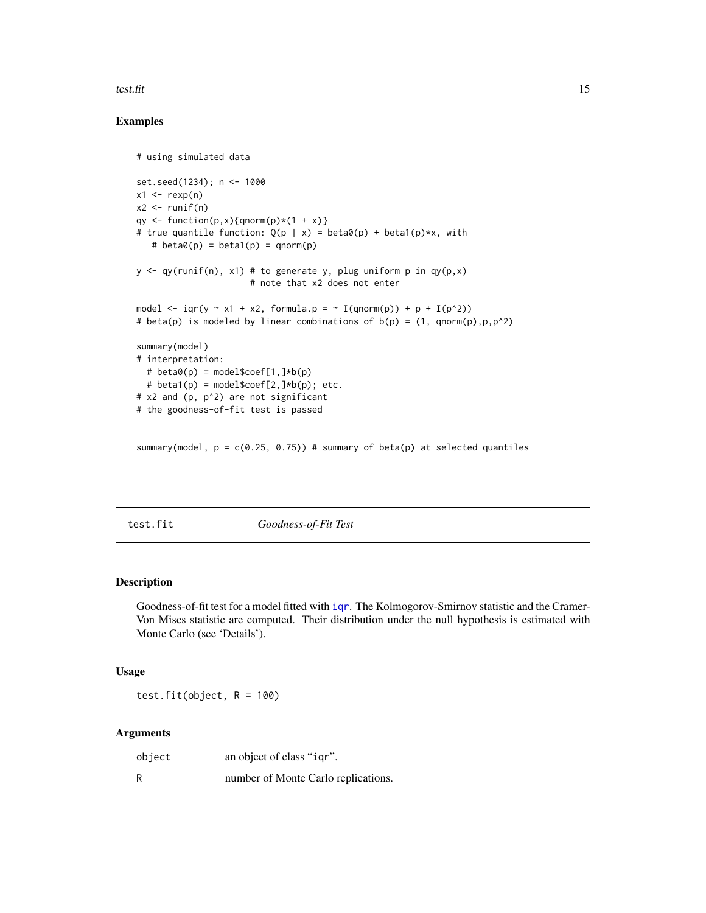#### <span id="page-14-0"></span>test.fit  $\frac{15}{15}$

#### Examples

```
# using simulated data
set.seed(1234); n <- 1000
x1 \leftarrow \text{resp}(n)x2 \le- runif(n)
qy \leftarrow function(p,x){qnorm(p)*(1 + x)}
# true quantile function: Q(p | x) = beta\theta(p) + beta1(p) *x, with
   # beta\theta(p) = beta1(p) = qnorm(p)
y \leq -qy(runif(n), x1) # to generate y, plug uniform p in qy(p,x)# note that x2 does not enter
model \leq iqr(y \leq x1 + x2, formula.p = \leq I(qnorm(p)) + p + I(p^2))
# beta(p) is modeled by linear combinations of b(p) = (1, qnorm(p), p, p^2)summary(model)
# interpretation:
  # beta0(p) = model$coef[1,]*b(p)
  # beta1(p) = model$coef[2,]*b(p); etc.
# x2 and (p, p^2) are not significant
# the goodness-of-fit test is passed
```
summary(model,  $p = c(0.25, 0.75)$ ) # summary of beta(p) at selected quantiles

<span id="page-14-1"></span>test.fit *Goodness-of-Fit Test*

#### Description

Goodness-of-fit test for a model fitted with [iqr](#page-2-1). The Kolmogorov-Smirnov statistic and the Cramer-Von Mises statistic are computed. Their distribution under the null hypothesis is estimated with Monte Carlo (see 'Details').

#### Usage

test.fit(object,  $R = 100$ )

#### Arguments

| object | an object of class "igr".           |
|--------|-------------------------------------|
| R      | number of Monte Carlo replications. |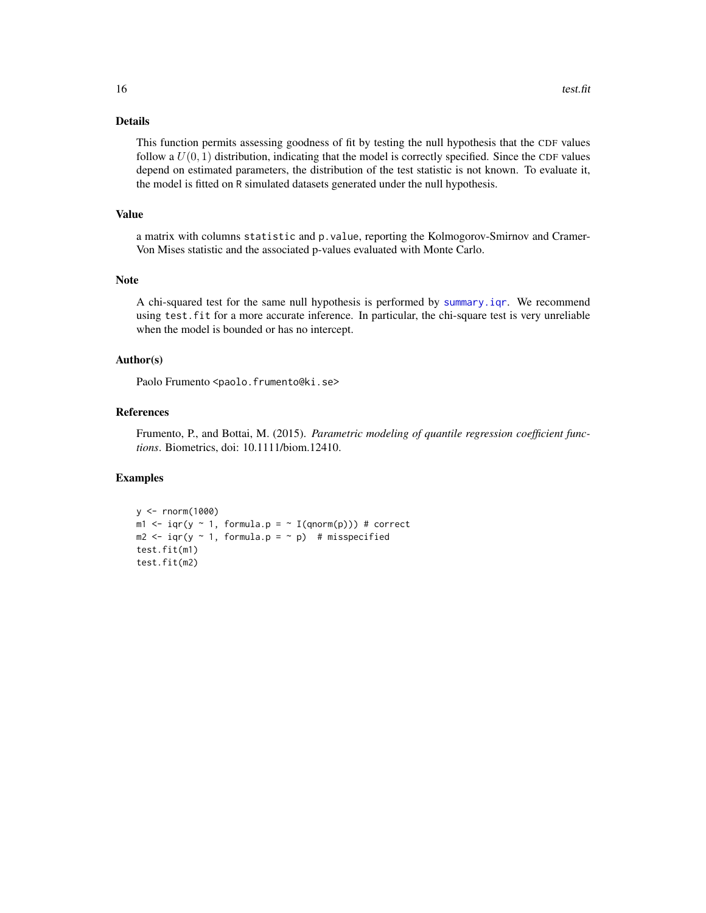#### Details

This function permits assessing goodness of fit by testing the null hypothesis that the CDF values follow a  $U(0, 1)$  distribution, indicating that the model is correctly specified. Since the CDF values depend on estimated parameters, the distribution of the test statistic is not known. To evaluate it, the model is fitted on R simulated datasets generated under the null hypothesis.

#### Value

a matrix with columns statistic and p.value, reporting the Kolmogorov-Smirnov and Cramer-Von Mises statistic and the associated p-values evaluated with Monte Carlo.

#### Note

A chi-squared test for the same null hypothesis is performed by [summary.iqr](#page-12-1). We recommend using test.fit for a more accurate inference. In particular, the chi-square test is very unreliable when the model is bounded or has no intercept.

#### Author(s)

Paolo Frumento <paolo.frumento@ki.se>

#### References

Frumento, P., and Bottai, M. (2015). *Parametric modeling of quantile regression coefficient functions*. Biometrics, doi: 10.1111/biom.12410.

#### Examples

```
y <- rnorm(1000)
ml \leq iqr(y \sim 1, formula.p = \sim I(qnorm(p))) # correct
m2 \leq -iqr(y \sim 1, formula.p = \sim p) # misspecified
test.fit(m1)
test.fit(m2)
```
<span id="page-15-0"></span>